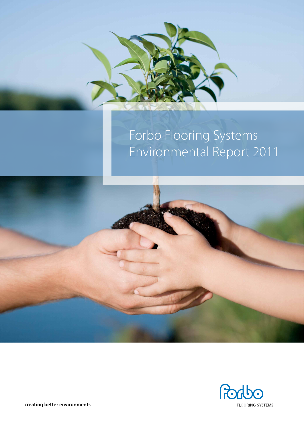

# Forbo Flooring Systems Environmental Report 2011





**creating better environments**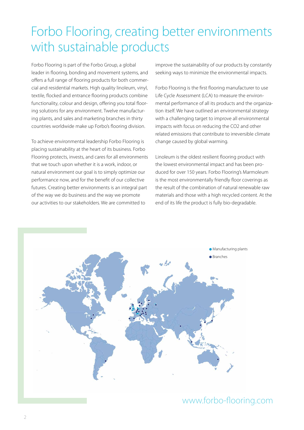### Forbo Flooring, creating better environments with sustainable products

Forbo Flooring is part of the Forbo Group, a global leader in flooring, bonding and movement systems, and offers a full range of flooring products for both commercial and residential markets. High quality linoleum, vinyl, textile, flocked and entrance flooring products combine functionality, colour and design, offering you total flooring solutions for any environment. Twelve manufacturing plants, and sales and marketing branches in thirty countries worldwide make up Forbo's flooring division.

To achieve environmental leadership Forbo Flooring is placing sustainability at the heart of its business. Forbo Flooring protects, invests, and cares for all environments that we touch upon whether it is a work, indoor, or natural environment our goal is to simply optimize our performance now, and for the benefit of our collective futures. Creating better environments is an integral part of the way we do business and the way we promote our activities to our stakeholders. We are committed to

improve the sustainability of our products by constantly seeking ways to minimize the environmental impacts.

Forbo Flooring is the first flooring manufacturer to use Life Cycle Assessment (LCA) to measure the environmental performance of all its products and the organization itself. We have outlined an environmental strategy with a challenging target to improve all environmental impacts with focus on reducing the CO2 and other related emissions that contribute to irreversible climate change caused by global warming.

Linoleum is the oldest resilient flooring product with the lowest environmental impact and has been produced for over 150 years. Forbo Flooring's Marmoleum is the most environmentally friendly floor coverings as the result of the combination of natural renewable raw materials and those with a high recycled content. At the end of its life the product is fully bio-degradable.



### www.forbo-flooring.com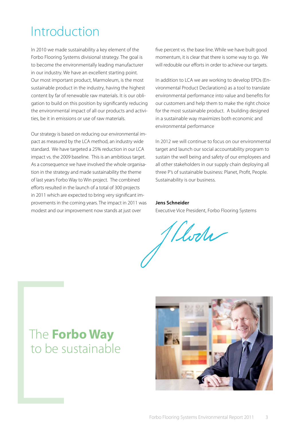### Introduction

In 2010 we made sustainability a key element of the Forbo Flooring Systems divisional strategy. The goal is to become the environmentally leading manufacturer in our industry. We have an excellent starting point. Our most important product, Marmoleum, is the most sustainable product in the industry, having the highest content by far of renewable raw materials. It is our obligation to build on this position by significantly reducing the environmental impact of all our products and activities, be it in emissions or use of raw materials.

Our strategy is based on reducing our environmental impact as measured by the LCA method, an industry wide standard. We have targeted a 25% reduction in our LCA impact vs. the 2009 baseline. This is an ambitious target. As a consequence we have involved the whole organisation in the strategy and made sustainability the theme of last years Forbo Way to Win project. The combined efforts resulted in the launch of a total of 300 projects in 2011 which are expected to bring very significant improvements in the coming years. The impact in 2011 was modest and our improvement now stands at just over

five percent vs. the base line. While we have built good momentum, it is clear that there is some way to go. We will redouble our efforts in order to achieve our targets.

In addition to LCA we are working to develop EPDs (Environmental Product Declarations) as a tool to translate environmental performance into value and benefits for our customers and help them to make the right choice for the most sustainable product. A building designed in a sustainable way maximizes both economic and environmental performance

In 2012 we will continue to focus on our environmental target and launch our social accountability program to sustain the well being and safety of our employees and all other stakeholders in our supply chain deploying all three P's of sustainable business: Planet, Profit, People. Sustainability is our business.

#### **Jens Schneider**

Executive Vice President, Forbo Flooring Systems

Wede

### The **Forbo Way** to be sustainable

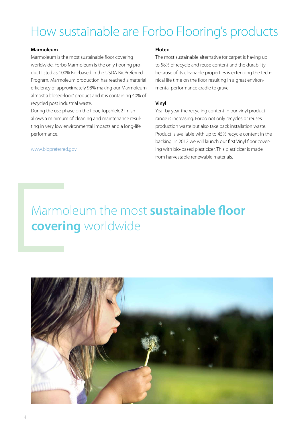### How sustainable are Forbo Flooring's products

#### **Marmoleum**

Marmoleum is the most sustainable floor covering worldwide. Forbo Marmoleum is the only flooring product listed as 100% Bio-based in the USDA BioPreferred Program. Marmoleum production has reached a material efficiency of approximately 98% making our Marmoleum almost a 'closed-loop' product and it is containing 40% of recycled post industrial waste.

During the use phase on the floor, Topshield2 finish allows a minimum of cleaning and maintenance resulting in very low environmental impacts and a long-life performance.

#### www.biopreferred.gov

#### **Flotex**

The most sustainable alternative for carpet is having up to 58% of recycle and reuse content and the durability because of its cleanable properties is extending the technical life time on the floor resulting in a great environmental performance cradle to grave

#### **Vinyl**

Year by year the recycling content in our vinyl product range is increasing. Forbo not only recycles or reuses production waste but also take back installation waste. Product is available with up to 45% recycle content in the backing. In 2012 we will launch our first Vinyl floor covering with bio-based plasticizer. This plasticizer is made from harvestable renewable materials.

### Marmoleum the most **sustainable floor covering** worldwide

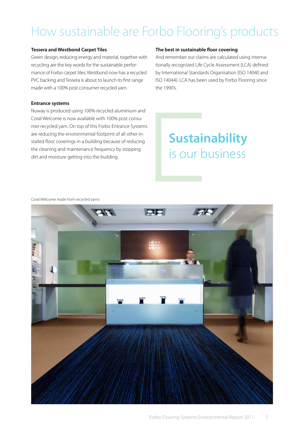### How sustainable are Forbo Flooring's products

#### **Tessera and Westbond Carpet Tiles**

Green design, reducing energy and material, together with recycling are the key words for the sustainable performance of Forbo carpet tiles. Westbond now has a recycled PVC backing and Tessera is about to launch its first range made with a 100% post consumer recycled yarn.

#### **Entrance systems**

Nuway is produced using 100% recycled aluminium and Coral Welcome is now available with 100% post consumer recycled yarn. On top of this Forbo Entrance Systems are reducing the environmental footprint of all other installed floor coverings in a building because of reducing the cleaning and maintenance frequency by stopping dirt and moisture getting into the building.

#### **The best in sustainable floor covering**

And remember our claims are calculated using internationally recognized Life Cycle Assessment (LCA) defined by International Standards Organisation (ISO 14040 and ISO 14044). LCA has been used by Forbo Flooring since the 1990's.

### **Sustainability** is our business

Coral Welcome made from recycled yarns

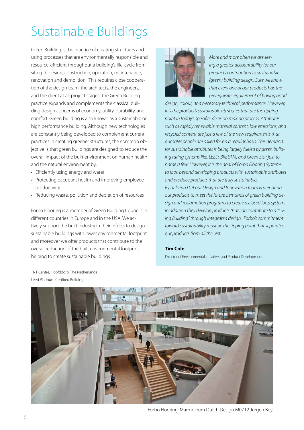# Sustainable Buildings

Green Building is the practice of creating structures and using processes that are environmentally responsible and resource-efficient throughout a building's life-cycle from siting to design, construction, operation, maintenance, renovation and demolition. This requires close cooperation of the design team, the architects, the engineers, and the client at all project stages. The Green Building practice expands and complements the classical building design concerns of economy, utility, durability, and comfort. Green building is also known as a sustainable or high performance building. Although new technologies are constantly being developed to complement current practices in creating greener structures, the common objective is that green buildings are designed to reduce the overall impact of the built environment on human health and the natural environment by:

- Efficiently using energy and water
- Protecting occupant health and improving employee productivity
- Reducing waste, pollution and depletion of resources

Forbo Flooring is a member of Green Building Councils in different countries in Europe and in the USA. We actively support the built industry in their efforts to design sustainable buildings with lower environmental footprint and moreover we offer products that contribute to the overall reduction of the built environmental footprint helping to create sustainable buildings.



*More and more often we are seeing a greater accountability for our products contribution to sustainable (green) building design. Sure we know that every one of our products has the prerequisite requirement of having good* 

*design, colour, and necessary technical performance. However, it is the product's sustainable attributes that are the tipping point in today's specifier decision making process. Attributes such as rapidly renewable material content, low emissions, and recycled content are just a few of the new requirements that our sales people are asked for on a regular basis. This demand for sustainable attributes is being largely fueled by green building rating systems like, LEED, BREEAM, and Green Star just to name a few. However, it is the goal of Forbo Flooring Systems to look beyond developing products with sustainable attributes and produce products that are truly sustainable.*

*By utilizing LCA our Design and Innovation team is preparing our products to meet the future demands of green building design and reclamation programs to create a closed loop system. In addition they develop products that can contribute to a "Living Building" through integrated design. Forbo's commitment toward sustainability must be the tipping point that separates our products from all the rest.*

#### **Tim Cole**

Director of Environmental Initiatives and Product Development



TNT Centre, Hoofddorp, The Netherlands Leed Platinum Certified Building

Forbo Flooring: Marmoleum Dutch Design M0712 Jurgen Bey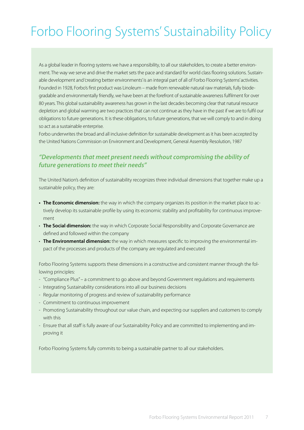## Forbo Flooring Systems' Sustainability Policy

As a global leader in flooring systems we have a responsibility, to all our stakeholders, to create a better environment. The way we serve and drive the market sets the pace and standard for world class flooring solutions. Sustainable development and 'creating better environments' is an integral part of all of Forbo Flooring Systems' activities. Founded in 1928, Forbo's first product was Linoleum – made from renewable natural raw materials, fully biodegradable and environmentally friendly, we have been at the forefront of sustainable awareness fulfilment for over 80 years. This global sustainability awareness has grown in the last decades becoming clear that natural resource depletion and global warming are two practices that can not continue as they have in the past if we are to fulfil our obligations to future generations. It is these obligations, to future generations, that we will comply to and in doing so act as a sustainable enterprise.

Forbo underwrites the broad and all inclusive definition for sustainable development as it has been accepted by the United Nations Commission on Environment and Development, General Assembly Resolution, 1987

### *"Developments that meet present needs without compromising the ability of future generations to meet their needs"*

The United Nation's definition of sustainability recognizes three individual dimensions that together make up a sustainable policy, they are:

- **• The Economic dimension:** the way in which the company organizes its position in the market place to actively develop its sustainable profile by using its economic stability and profitability for continuous improvement
- **· The Social dimension:** the way in which Corporate Social Responsibility and Corporate Governance are defined and followed within the company
- • **The Environmental dimension:** the way in which measures specific to improving the environmental impact of the processes and products of the company are regulated and executed

Forbo Flooring Systems supports these dimensions in a constructive and consistent manner through the following principles:

- "Compliance Plus" a commitment to go above and beyond Government regulations and requirements
- Integrating Sustainability considerations into all our business decisions
- Regular monitoring of progress and review of sustainability performance
- Commitment to continuous improvement
- Promoting Sustainability throughout our value chain, and expecting our suppliers and customers to comply with this
- Ensure that all staff is fully aware of our Sustainability Policy and are committed to implementing and improving it

Forbo Flooring Systems fully commits to being a sustainable partner to all our stakeholders.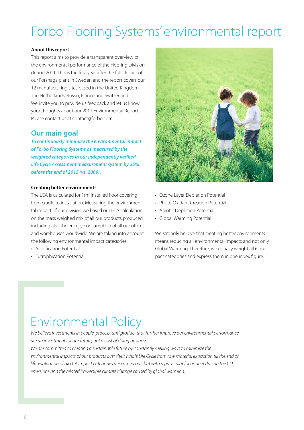# Forbo Flooring Systems' environmental report

#### **About this report**

This report aims to provide a transparent overview of the environmental performance of the Flooring Division during 2011. This is the first year after the full closure of our Forshaga plant in Sweden and the report covers our 12 manufacturing sites based in the United Kingdom, The Netherlands, Russia, France and Switzerland. We invite you to provide us feedback and let us know your thoughts about our 2011 Environmental Report. Please contact us at contact@forbo.com

### **Our main goal**

*To continuously minimize the environmental impact of Forbo Flooring Systems as measured by the weighted categories in our independently verified Life Cycle Assessment measurement system by 25% before the end of 2015 (vs. 2009).*

#### **Creating better environments**

The LCA is calculated for 1m<sup>2</sup> installed floor covering from cradle to installation. Measuring the environmental impact of our division we based our LCA calculation on the mass weighed mix of all our products produced including also the energy consumption of all our offices and warehouses worldwide. We are taking into account the following environmental impact categories:

- Acidification Potential
- Eutrophication Potential



- Ozone Layer Depletion Potential
- Photo Oxidant Creation Potential
- Abiotic Depletion Potential
- Global Warming Potential

We strongly believe that creating better environments means reducing all environmental impacts and not only Global Warming. Therefore, we equally weight all 6 impact categories and express them in one index figure.

### Environmental Policy

*We believe investments in people, process, and product that further improve our environmental performance are an investment for our future, not a cost of doing business. We are committed to creating a sustainable future by constantly seeking ways to minimize the environmental impacts of our products over their whole Life Cycle from raw material extraction till the end of life. Evaluation of all LCA impact categories are carried out, but with a particular focus on reducing the CO<sub>2</sub> emissions and the related irreversible climate change caused by global warming.*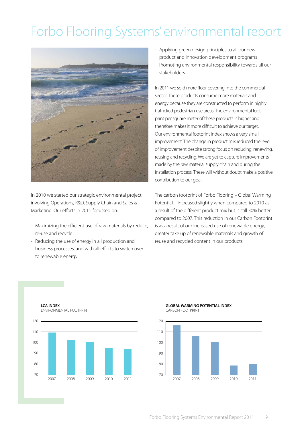# Forbo Flooring Systems' environmental report



In 2010 we started our strategic environmental project involving Operations, R&D, Supply Chain and Sales & Marketing. Our efforts in 2011 focussed on:

- Maximizing the efficient use of raw materials by reduce, re-use and recycle
- Reducing the use of energy in all production and business processes, and with all efforts to switch over to renewable energy
- Applying green design principles to all our new product and innovation development programs
- Promoting environmental responsibility towards all our stakeholders

In 2011 we sold more floor covering into the commercial sector. These products consume more materials and energy because they are constructed to perform in highly trafficked pedestrian use areas. The environmental foot print per square meter of these products is higher and therefore makes it more difficult to achieve our target. Our environmental footprint index shows a very small improvement. The change in product mix reduced the level of improvement despite strong focus on reducing, renewing, reusing and recycling. We are yet to capture improvements made by the raw material supply chain and during the installation process. These will without doubt make a positive contribution to our goal.

The carbon footprint of Forbo Flooring – Global Warming Potential – increased slightly when compared to 2010 as a result of the different product mix but is still 30% better compared to 2007. This reduction in our Carbon Footprint is as a result of our increased use of renewable energy, greater take up of renewable materials and growth of reuse and recycled content in our products

**LCA INDEX** ENVIRONMENTAL FOOTPRINT



#### **GLOBAL WARMING POTENTIAL INDEX** CARBON FOOTPRINT

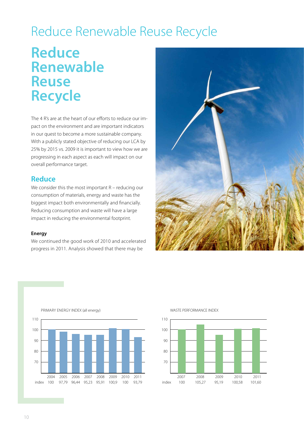### Reduce Renewable Reuse Recycle

### **Reduce Renewable Reuse Recycle**

The 4 R's are at the heart of our efforts to reduce our impact on the environment and are important indicators in our quest to become a more sustainable company. With a publicly stated objective of reducing our LCA by 25% by 2015 vs. 2009 it is important to view how we are progressing in each aspect as each will impact on our overall performance target.

### **Reduce**

We consider this the most important R – reducing our consumption of materials, energy and waste has the biggest impact both environmentally and financially. Reducing consumption and waste will have a large impact in reducing the environmental footprint.

#### **Energy**

We continued the good work of 2010 and accelerated progress in 2011. Analysis showed that there may be





#### primary energy INDEX (all energy)



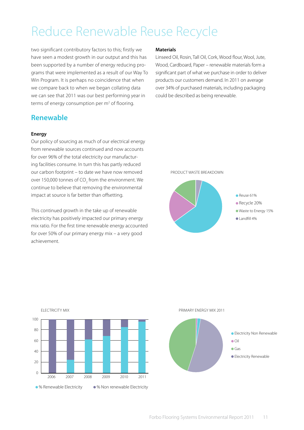### Reduce Renewable Reuse Recycle

two significant contributory factors to this; firstly we have seen a modest growth in our output and this has been supported by a number of energy reducing programs that were implemented as a result of our Way To Win Program. It is perhaps no coincidence that when we compare back to when we began collating data we can see that 2011 was our best performing year in terms of energy consumption per m<sup>2</sup> of flooring.

### **Renewable**

electricity mix

#### **Energy**

Our policy of sourcing as much of our electrical energy from renewable sources continued and now accounts for over 96% of the total electricity our manufacturing facilities consume. In turn this has partly reduced our carbon footprint – to date we have now removed over 150,000 tonnes of CO $_{\rm 2}$  from the environment. We continue to believe that removing the environmental impact at source is far better than offsetting.

This continued growth in the take up of renewable electricity has positively impacted our primary energy mix ratio. For the first time renewable energy accounted for over 50% of our primary energy mix – a very good achievement.

#### **Materials**

Linseed Oil, Rosin, Tall Oil, Cork, Wood flour, Wool, Jute, Wood, Cardboard, Paper – renewable materials form a significant part of what we purchase in order to deliver products our customers demand. In 2011 on average over 34% of purchased materials, including packaging could be described as being renewable.

#### Product waste breakdown





#### Primary Energy Mix 2011

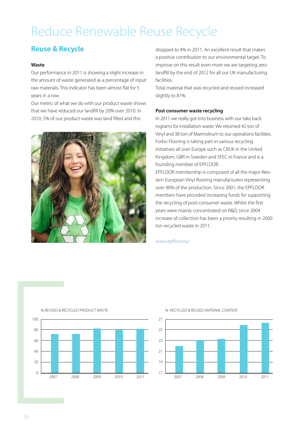## Reduce Renewable Reuse Recycle

### **Reuse & Recycle**

#### **Waste**

Our performance in 2011 is showing a slight increase in the amount of waste generated as a percentage of input raw materials. This indicator has been almost flat for 5 years in a row.

Our metric of what we do with our product waste shows that we have reduced our landfill by 20% over 2010. In 2010, 5% of our product waste was land filled and this



dropped to 4% in 2011. An excellent result that makes a positive contribution to our environmental target. To improve on this result even more we are targeting zero landfill by the end of 2012 for all our UK manufacturing facilities.

Total material that was recycled and reused increased slightly to 81%.

#### **Post consumer waste recycling**

In 2011 we really got into business with our take back rograms for installation waste. We returned 42 ton of Vinyl and 38 ton of Marmoleum to our operations facilities. Forbo Flooring is taking part in various recycling initiatives all over Europe such as CRUK in the United Kingdom, GBR in Sweden and SFEC in France and is a founding member of EPFLOOR.

EPFLOOR membership is composed of all the major Western European Vinyl flooring manufacturers representing over 90% of the production. Since 2001, the EPFLOOR members have provided increasing funds for supporting the recycling of post-consumer waste. Whilst the first years were mainly concentrated on R&D, since 2004 increase of collection has been a priority resulting in 2000 ton recycled waste in 2011.

#### www.epfloor.eu/



#### % RECYCLED & REUSED MATERIAL CONTENT



### % REUSED & RECYCLED PRODUCT WASTE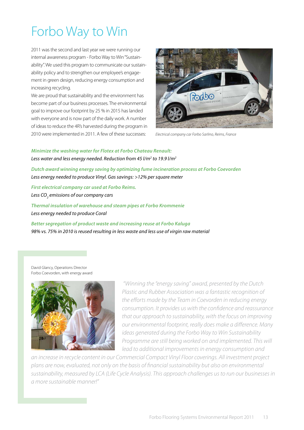# Forbo Way to Win

2011 was the second and last year we were running our internal awareness program - Forbo Way to Win "Sustainability". We used this program to communicate our sustainability policy and to strengthen our employee's engagement in green design, reducing energy consumption and increasing recycling.

We are proud that sustainability and the environment has become part of our business processes. The environmental goal to improve our footprint by 25 % in 2015 has landed with everyone and is now part of the daily work. A number of ideas to reduce the 4R's harvested during the program in 2010 were implemented in 2011. A few of these successes:



*Electrical company car Forbo Sarlino, Reims, France*

*Minimize the washing water for Flotex at Forbo Chateau Renault:* Less water and less energy needed. Reduction from 45 l/m<sup>2</sup> to 19.9 l/m<sup>2</sup>

*Dutch award winning energy saving by optimizing fume incineration process at Forbo Coevorden Less energy needed to produce Vinyl. Gas savings: >12% per square meter*

*First electrical company car used at Forbo Reims.* Less CO<sub>2</sub> emissions of our company cars

*Thermal insulation of warehouse and steam pipes at Forbo Krommenie Less energy needed to produce Coral* 

*Better segregation of product waste and increasing reuse at Forbo Kaluga 98% vs. 75% in 2010 is reused resulting in less waste and less use of virgin raw material*

David Glancy, Operations Director Forbo Coevorden, with energy award



 *"Winning the "energy saving" award, presented by the Dutch Plastic and Rubber Association was a fantastic recognition of the efforts made by the Team in Coevorden in reducing energy consumption. It provides us with the confidence and reassurance that our approach to sustainability, with the focus on improving our environmental footprint, really does make a difference. Many ideas generated during the Forbo Way to Win Sustainability Programme are still being worked on and implemented. This will lead to additional improvements in energy consumption and* 

*an increase in recycle content in our Commercial Compact Vinyl Floor coverings. All investment project plans are now, evaluated, not only on the basis of financial sustainability but also on environmental sustainability, measured by LCA (Life Cycle Analysis). This approach challenges us to run our businesses in a more sustainable manner!"*